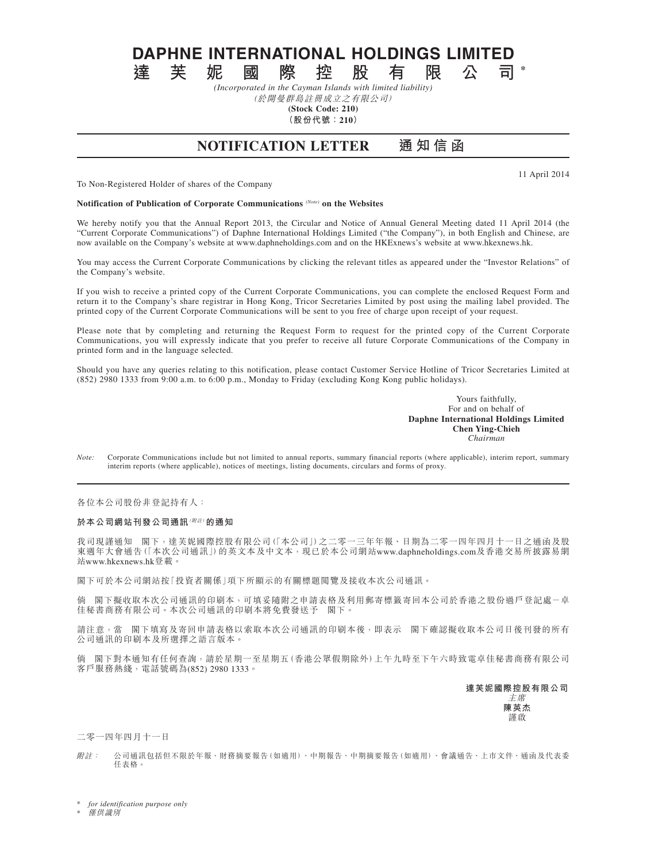**DAPHNE INTERNATIONAL HOLDINGS LIMITED**<br>達 芙 妮 國 際 控 股 有 限 公 司

**達芙妮國際控股有限公司 \*** *(Incorporated in the Cayman Islands with limited liability)*

(於開曼群島註冊成立之有限公司)

**(Stock Code: 210)**

**(股份代號:210)**

## **NOTIFICATION LETTER 通 知 信 函**

11 April 2014

To Non-Registered Holder of shares of the Company

**Notification of Publication of Corporate Communications** *(Note)* **on the Websites**

We hereby notify you that the Annual Report 2013, the Circular and Notice of Annual General Meeting dated 11 April 2014 (the "Current Corporate Communications") of Daphne International Holdings Limited ("the Company"), in both English and Chinese, are now available on the Company's website at www.daphneholdings.com and on the HKExnews's website at www.hkexnews.hk.

You may access the Current Corporate Communications by clicking the relevant titles as appeared under the "Investor Relations" of the Company's website.

If you wish to receive a printed copy of the Current Corporate Communications, you can complete the enclosed Request Form and return it to the Company's share registrar in Hong Kong, Tricor Secretaries Limited by post using the mailing label provided. The printed copy of the Current Corporate Communications will be sent to you free of charge upon receipt of your request.

Please note that by completing and returning the Request Form to request for the printed copy of the Current Corporate Communications, you will expressly indicate that you prefer to receive all future Corporate Communications of the Company in printed form and in the language selected.

Should you have any queries relating to this notification, please contact Customer Service Hotline of Tricor Secretaries Limited at (852) 2980 1333 from 9:00 a.m. to 6:00 p.m., Monday to Friday (excluding Kong Kong public holidays).

> Yours faithfully, For and on behalf of **Daphne International Holdings Limited Chen Ying-Chieh** *Chairman*

*Note:* Corporate Communications include but not limited to annual reports, summary financial reports (where applicable), interim report, summary interim reports (where applicable), notices of meetings, listing documents, circulars and forms of proxy.

各位本公司股份非登記持有人:

## **於本公司網站刊發公司通訊**(附註)**的通知**

我司現謹通知 閣下,達芙妮國際控股有限公司(「本公司」)之二零一三年年報、日期為二零一四年四月十一日之通函及股 東週年大會通告(「本次公司通訊」)的英文本及中文本,現已於本公司網站www.daphneholdings.com及香港交易所披露易網 站www.hkexnews.hk登載。

閣下可於本公司網站按「投資者關係」項下所顯示的有關標題閱覽及接收本次公司通訊。

倘 閣下擬收取本次公司通訊的印刷本,可填妥隨附之申請表格及利用郵寄標籤寄回本公司於香港之股份過戶登記處-卓 佳秘書商務有限公司。本次公司通訊的印刷本將免費發送予 閣下。

請注意,當 閣下填寫及寄回申請表格以索取本次公司通訊的印刷本後,即表示 閣下確認擬收取本公司日後刊發的所有 公司通訊的印刷本及所選擇之語言版本。

倘 閣下對本通知有任何查詢,請於星期一至星期五(香港公眾假期除外)上午九時至下午六時致電卓佳秘書商務有限公司 客戶服務熱綫,電話號碼為(852) 2980 1333。

> **達芙妮國際控股有限公司** 主席

**陳英杰** 謹啟

二零一四年四月十一日

附註: 公司通訊包括但不限於年報、財務摘要報告(如適用)、中期報告、中期摘要報告(如適用)、會議通告、上市文件、通函及代表委 任表格。

 $for$  *identification purpose only* 

**僅供識別**